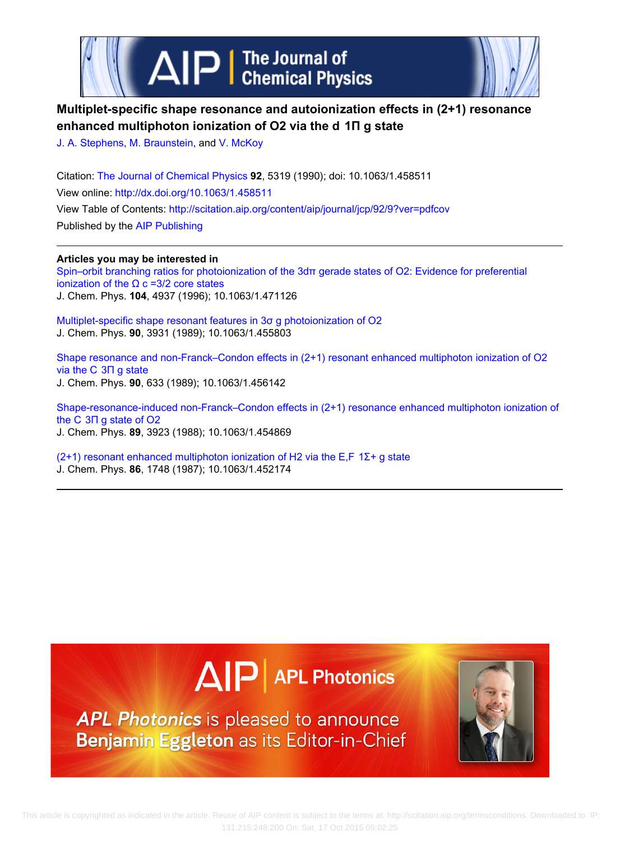



# **Multiplet‐specific shape resonance and autoionization effects in (2+1) resonance enhanced multiphoton ionization of O2 via the d  1Π g state**

[J. A. Stephens,](http://scitation.aip.org/search?value1=J.+A.+Stephens&option1=author) [M. Braunstein](http://scitation.aip.org/search?value1=M.+Braunstein&option1=author), and [V. McKoy](http://scitation.aip.org/search?value1=V.+McKoy&option1=author)

Citation: [The Journal of Chemical Physics](http://scitation.aip.org/content/aip/journal/jcp?ver=pdfcov) **92**, 5319 (1990); doi: 10.1063/1.458511 View online: <http://dx.doi.org/10.1063/1.458511> View Table of Contents: <http://scitation.aip.org/content/aip/journal/jcp/92/9?ver=pdfcov> Published by the [AIP Publishing](http://scitation.aip.org/content/aip?ver=pdfcov)

**Articles you may be interested in**

[Spin–orbit branching ratios for photoionization of the 3dπ gerade states of O2: Evidence for preferential](http://scitation.aip.org/content/aip/journal/jcp/104/13/10.1063/1.471126?ver=pdfcov) ionization of the  $Ω$  c = 3/2 core states J. Chem. Phys. **104**, 4937 (1996); 10.1063/1.471126

[Multiplet‐specific shape resonant features in 3σ g photoionization of O2](http://scitation.aip.org/content/aip/journal/jcp/90/8/10.1063/1.455803?ver=pdfcov) J. Chem. Phys. **90**, 3931 (1989); 10.1063/1.455803

Shape resonance and non-Franck–Condon effects in (2+1) resonant enhanced multiphoton ionization of O2 [via the C  3Π g state](http://scitation.aip.org/content/aip/journal/jcp/90/2/10.1063/1.456142?ver=pdfcov) J. Chem. Phys. **90**, 633 (1989); 10.1063/1.456142

Shape-resonance-induced non-Franck–Condon effects in (2+1) resonance enhanced multiphoton ionization of [the C  3Π g state of O2](http://scitation.aip.org/content/aip/journal/jcp/89/6/10.1063/1.454869?ver=pdfcov) J. Chem. Phys. **89**, 3923 (1988); 10.1063/1.454869

(2+1) resonant enhanced multiphoton ionization of H2 via the E,F  $1\Sigma$ + g state J. Chem. Phys. **86**, 1748 (1987); 10.1063/1.452174





APL Photonics is pleased to announce Benjamin Eggleton as its Editor-in-Chief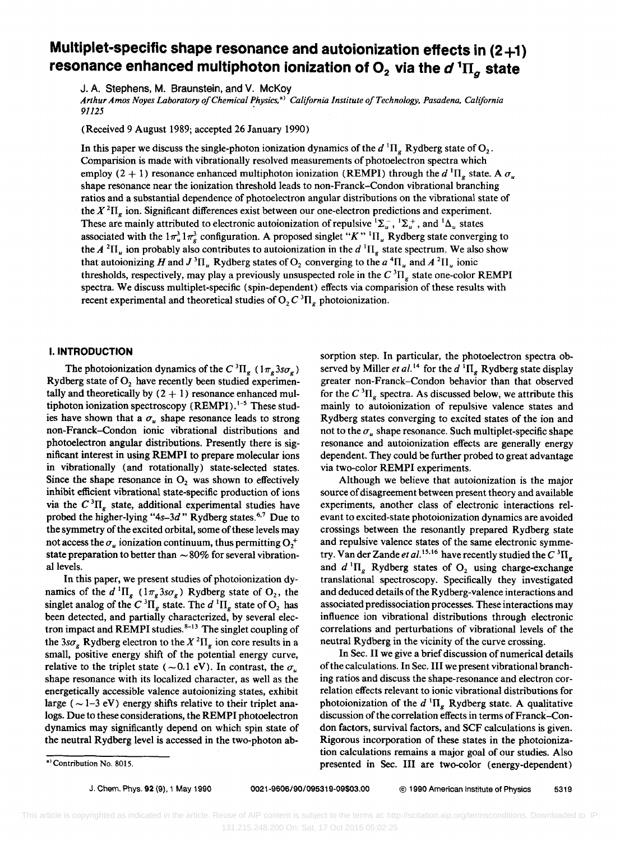# **Multiplet-specific shape resonance and autoionization effects in (2+1) resonance enhanced multiphoton ionization of**  $O_2$  **via the**  $d^1\Pi_g$  **state**

J. A. Stephens, M. Braunstein, and V. McKoy

*Arthur Amos Noyes Laboratory o/Chemical Physics,* a) *California Institute 0/ Technology, Pasadena, California*   $91125$ 

(Received 9 August 1989; accepted 26 January 1990)

In this paper we discuss the single-photon ionization dynamics of the  $d \Pi_{g} R$ ydberg state of  $O_2$ . Comparision is made with vibrationally resolved measurements of photoelectron spectra which employ (2 + 1) resonance enhanced multiphoton ionization (REMPI) through the *d*<sup>1</sup> $\Pi<sub>e</sub>$  state. A  $\sigma<sub>u</sub>$ shape resonance near the ionization threshold leads to non-Franck-Condon vibrational branching ratios and a substantial dependence of photoelectron angular distributions on the vibrational state of the  $X^2\Pi_{\sigma}$  ion. Significant differences exist between our one-electron predictions and experiment. These are mainly attributed to electronic autoionization of repulsive  ${}^{1}\Sigma_{u}^{-}$ ,  ${}^{1}\Sigma_{u}^{+}$ , and  ${}^{1}\Delta_{u}$  states associated with the  $1\pi_u^3 1\pi_v^3$  configuration. A proposed singlet "K" <sup>1</sup>II<sub>u</sub> Rydberg state converging to the *A* <sup>2</sup>II<sub>u</sub> ion probably also contributes to autoionization in the *d* <sup>1</sup>II<sub>g</sub> state spectrum. We also show that autoionizing *H* and  $J^3\Pi_u$  Rydberg states of  $O_2$  converging to the *a*<sup>4</sup> $\Pi_u$  and *A*<sup>2</sup> $\Pi_u$  ionic thresholds, respectively, may play a previously unsuspected role in the  $C^{3}\Pi_{\sigma}$  state one-color REMPI spectra. We discuss multiplet-specific (spin-dependent) effects via comparision of these results with recent experimental and theoretical studies of  $O_2 C^3 \Pi_e$ , photoionization.

# I. **INTRODUCTION**

The photoionization dynamics of the C<sup>3</sup> $\Pi_{g}$  (1 $\pi_{g}$  3s $\sigma_{g}$ ) Rydberg state of  $O<sub>2</sub>$  have recently been studied experimentally and theoretically by  $(2 + 1)$  resonance enhanced multiphoton ionization spectroscopy  $(REMPI)^{1-5}$  These studies have shown that a  $\sigma_u$  shape resonance leads to strong non-Franck-Condon ionic vibrational distributions and photoelectron angular distributions. Presently there is significant interest in using REMPI to prepare molecular ions in vibrationally (and rotationally) state-selected states. Since the shape resonance in  $O_2$  was shown to effectively inhibit efficient vibrational state-specific production of ions via the  $C^{3}\Pi_{g}$  state, additional experimental studies have probed the higher-lying "4s-3d" Rydberg states.<sup>6,7</sup> Due to the symmetry of the excited orbital, some of these levels may not access the  $\sigma_u$  ionization continuum, thus permitting  $O_1^+$ state preparation to better than  $\sim 80\%$  for several vibrational levels.

In this paper, we present studies of photoionization dynamics of the  $d^{1}\Pi_{g}$  ( $1\pi_{g}3s\sigma_{g}$ ) Rydberg state of O<sub>2</sub>, the singlet analog of the  $C^{3} \Pi_{g}$  state. The  $d^{1} \Pi_{g}$  state of  $O_{2}$  has been detected, and partially characterized, by several electron impact and REMPI studies.<sup>8-13</sup> The singlet coupling of the  $3s\sigma_{g}$  Rydberg electron to the  $X^{2}\Pi_{g}$  ion core results in a small, positive energy shift of the potential energy curve, relative to the triplet state ( $\sim$ 0.1 eV). In contrast, the  $\sigma_{\mu}$ shape resonance with its localized character, as well as the energetically accessible valence autoionizing states, exhibit large ( $\sim$  1-3 eV) energy shifts relative to their triplet analogs. Due to these considerations, the REMPI photoelectron dynamics may significantly depend on which spin state of the neutral Rydberg level is accessed in the two-photon absorption step. In particular, the photoelectron spectra observed by Miller *et al.*<sup>14</sup> for the  $d$ <sup>1</sup> $\Pi_g$  Rydberg state display greater non-Franck-Condon behavior than that observed for the  $C^{3}\Pi_{\sigma}$  spectra. As discussed below, we attribute this mainly to autoionization of repulsive valence states and Rydberg states converging to excited states of the ion and not to the  $\sigma_u$  shape resonance. Such multiplet-specific shape resonance and autoionization effects are generally energy dependent. They could be further probed to great advantage via two-color REMPI experiments.

Although we believe that autoionization is the major source of disagreement between present theory and available experiments, another class of electronic interactions relevant to excited-state photoionization dynamics are avoided crossings between the resonantly prepared Rydberg state and repulsive valence states of the same electronic symmetry. Van der Zande *et al.*<sup>15,16</sup> have recently studied the  $C^{3}\Pi_{g}$ and  $d^{1}\Pi_{g}$  Rydberg states of  $O_{2}$  using charge-exchange translational spectroscopy. Specifically they investigated and deduced details of the Rydberg-valence interactions and associated predissociation processes. These interactions may influence ion vibrational distributions through electronic correlations and perturbations of vibrational levels of the neutral Rydberg in the vicinity of the curve crossing.

In Sec. II we give a brief discussion of numerical details of the calculations. In Sec, III we present vibrational branching ratios and discuss the shape-resonance and electron correlation effects relevant to ionic vibrational distributions for photoionization of the  $d<sup>1</sup>\Pi_g$  Rydberg state. A qualitative discussion of the correlation effects in terms of Franck-Condon factors, survival factors, and SCF calculations is given. Rigorous incorporation of these states in the photoionization calculations remains a major goal of our studies, Also presented in Sec. III are two-color (energy-dependent)

<sup>&</sup>lt;sup>8)</sup> Contribution No. 8015.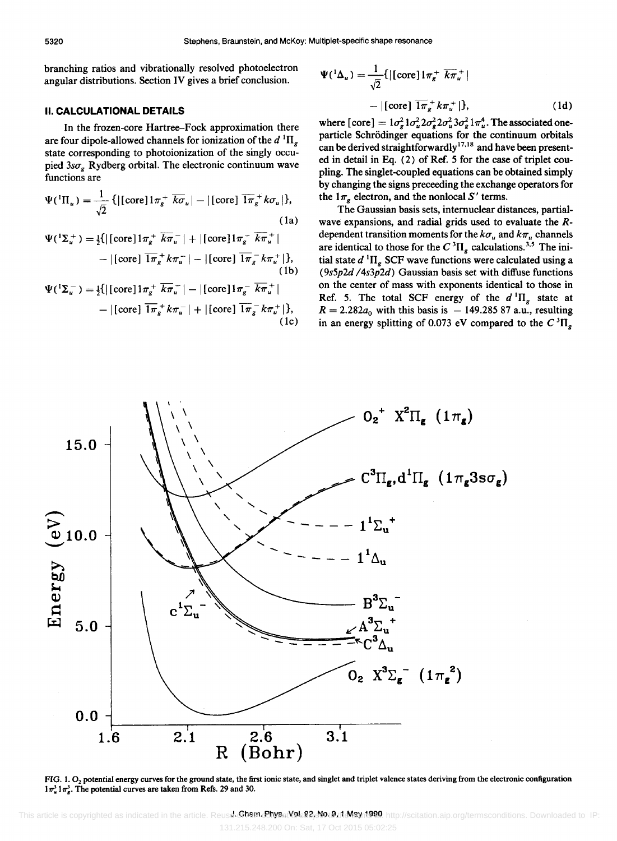branching ratios and vibrationally resolved photoelectron angular distributions. Section IV gives a brief conclusion.

# II. CALCULATIONAL DETAILS

In the frozen-core Hartree-Fock approximation there are four dipole-allowed channels for ionization of the  $d \,{}^{1}\Pi_{g}$ state corresponding to photoionization of the singly occupied  $3s\sigma_{\sigma}$  Rydberg orbital. The electronic continuum wave functions are

$$
\Psi({}^{1}\Pi_{u}) = \frac{1}{\sqrt{2}} \{ |[\text{core}]1\pi_{g}^{+} \overline{k\sigma}_{u}| - |[\text{core}] \overline{1\pi}_{g}^{+} k\sigma_{u}| \},
$$
\n(1a)\n
$$
\Psi({}^{1}\Sigma_{u}^{+}) = \frac{1}{2} \{ |[\text{core}]1\pi_{g}^{+} \overline{k\pi}_{u}^{-}| + |[\text{core}]1\pi_{g}^{-} \overline{k\pi}_{u}^{+}| - |[\text{core}] \overline{1\pi}_{g}^{-} k\pi_{u}^{+}| \},
$$
\n(1b)\n
$$
\Psi({}^{1}\Sigma_{u}) = \frac{1}{2} \{ |[\text{core}]1\pi_{g}^{+} k\pi_{u}^{-}| - |[\text{core}] \overline{1\pi}_{g}^{-} k\pi_{u}^{+}| \},
$$
\n(1c)\n
$$
\Psi({}^{1}\Sigma_{u}) = \frac{1}{2} \{ |[\text{core}]1\pi_{g}^{+} k\pi_{u}^{-}| - |[\text{core}]1\pi_{g}^{-} k\pi_{u}^{+}| \},
$$
\n(1d)\n
$$
\Psi({}^{1}\Sigma_{u}) = \frac{1}{2} \{ |[\text{core}]1\pi_{g}^{+} k\pi_{u}^{-}| - |[\text{core}]1\pi_{g}^{-} k\pi_{u}^{+}| \},
$$

$$
\Psi({}^{1}\Sigma_{u}^{-}) = \frac{1}{2}\{ |[\text{core}]1\pi_{g}^{+} \overline{k}\pi_{u}^{-}| - |[\text{core}]1\pi_{g}^{-} \overline{k}\pi_{u}^{+}| - |[\text{core}] \overline{1\pi}_{g}^{-} k\pi_{u}^{+}| + |[\text{core}] \overline{1\pi}_{g}^{-} k\pi_{u}^{+}| \},
$$
\n(1c)

$$
\Psi({}^{1}\Delta_{u}) = \frac{1}{\sqrt{2}} \{ |[\text{core}]1\pi_{g}^{+} \overline{k}\pi_{u}^{+}|
$$

$$
- |[\text{core}] \overline{1\pi}_{g}^{+} k\pi_{u}^{+} | \}, \qquad (1d)
$$

where  $[core] = 1\sigma_g^2 1\sigma_u^2 2\sigma_g^2 2\sigma_u^2 3\sigma_g^2 1\pi_u^4$ . The associated oneparticle Schrodinger equations for the continuum orbitals can be derived straightforwardly<sup>17,18</sup> and have been presented in detail in Eq. (2) of Ref. 5 for the case of triplet coupling. The singlet-coupled equations can be obtained simply by changing the signs preceeding the exchange operators for the  $1\pi_{\rm g}$  electron, and the nonlocal S' terms.

The Gaussian basis sets, internuclear distances, partialwave expansions, and radial grids used to evaluate the Rdependent transition moments for the  $k\sigma_u$  and  $k\pi_u$  channels are identical to those for the  $C^{3}\Pi_{\sigma}$  calculations.<sup>3,5</sup> The initial state  $d$ <sup>1</sup>II<sub>g</sub> SCF wave functions were calculated using a *(9s5p2d 14s3p2d)* Gaussian basis set with diffuse functions on the center of mass with exponents identical to those in Ref. 5. The total SCF energy of the  $d \Pi_g$  state at  $R = 2.282a_0$  with this basis is  $- 149.28587$  a.u., resulting in an energy splitting of 0.073 eV compared to the  $C^{3}\Pi_{g}$ 



FIG. 1.  $O_2$  potential energy curves for the ground state, the first ionic state, and singlet and triplet valence states deriving from the electronic configuration  $1\pi^3$ ,  $1\pi^3$ . The potential curves are taken from Refs. 29 and 30.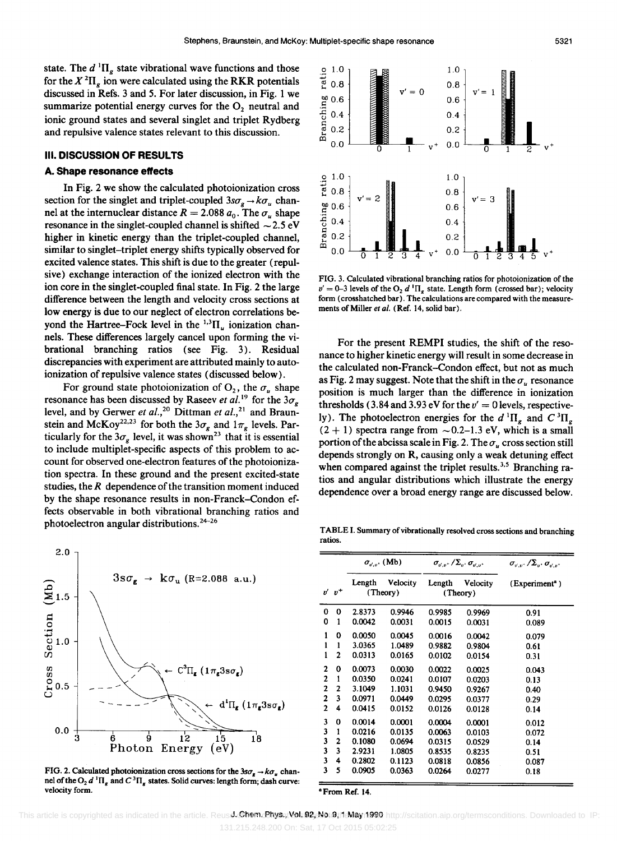state. The  $d^{1} \Pi_{g}$  state vibrational wave functions and those for the  $X^2\Pi_e$  ion were calculated using the RKR potentials discussed in Refs. 3 and 5. For later discussion, in Fig. 1 we summarize potential energy curves for the  $O<sub>2</sub>$  neutral and ionic ground states and several singlet and triplet Rydberg and repulsive valence states relevant to this discussion.

#### **III. DISCUSSION OF RESULTS**

#### **A. Shape resonance effects**

In Fig. 2 we show the calculated photoionization cross section for the singlet and triplet-coupled  $3s\sigma_g \rightarrow k\sigma_u$  channel at the internuclear distance  $R = 2.088 a_0$ . The  $\sigma_y$  shape resonance in the singlet-coupled channel is shifted  $\sim$  2.5 eV higher in kinetic energy than the triplet-coupled channel, similar to singlet-triplet energy shifts typically observed for excited valence states. This shift is due to the greater (repulsive) exchange interaction of the ionized electron with the ion core in the singlet-coupled final state. In Fig. 2 the large difference between the length and velocity cross sections at low energy is due to our neglect of electron correlations beyond the Hartree-Fock level in the  $^{1,3}$ II<sub>u</sub> ionization channels. These differences largely cancel upon forming the vibrational branching ratios (see Fig. 3). Residual discrepancies with experiment are attributed mainly to autoionization of repulsive valence states (discussed below).

For ground state photoionization of  $O_2$ , the  $\sigma_u$  shape resonance has been discussed by Raseev *et al.*<sup>19</sup> for the  $3\sigma_{g}$ level, and by Gerwer *et al.,20* Dittman *et al.,21* and Braunstein and McKoy<sup>22,23</sup> for both the  $3\sigma_{g}$  and  $1\pi_{g}$  levels. Particularly for the  $3\sigma_{\rm e}$  level, it was shown<sup>23</sup> that it is essential to include multiplet-specific aspects of this problem to account for observed one-electron features of the photoionization spectra. In these ground and the present excited-state studies, the *R* dependence of the transition moment induced by the shape resonance results in non-Franck-Condon effects observable in both vibrational branching ratios and photoelectron angular distributions.<sup>24-26</sup>



FIG. 2. Calculated photoionization cross sections for the  $3s\sigma_{\rm e} \rightarrow k\sigma_{\rm u}$  channel of the O<sub>2</sub> d<sup>1</sup> $\Pi$ <sub>s</sub> and  $C$ <sup>3</sup> $\Pi$ <sub>s</sub> states. Solid curves: length form; dash curve: velocity form.



FIG. 3. Calculated vibrational branching ratios for photoionization of the  $v' = 0$ -3 levels of the O<sub>2</sub> d<sup>1</sup> $\Pi<sub>g</sub>$  state. Length form (crossed bar); velocity form (crosshatched bar). The calculations are compared with the measurements of Miller *et al.* (Ref. 14, solid bar).

For the present REMPI studies, the shift of the resonance to higher kinetic energy will result in some decrease in the calculated non-Franck-Condon effect, but not as much as Fig. 2 may suggest. Note that the shift in the  $\sigma_{\mu}$  resonance position is much larger than the difference in ionization thresholds (3.84 and 3.93 eV for the  $v' = 0$  levels, respectively). The photoelectron energies for the  $d^1\Pi_e$  and  $C^3\Pi_e$  $(2 + 1)$  spectra range from  $\sim 0.2-1.3$  eV, which is a small portion of the abcissa scale in Fig. 2. The  $\sigma_{\mu}$  cross section still depends strongly on R, causing only a weak detuning effect when compared against the triplet results.<sup>3,5</sup> Branching ratios and angular distributions which illustrate the energy dependence over a broad energy range are discussed below.

TABLE I. Summary of vibrationally resolved cross sections and branching ratios.

|                         |                | $\sigma_{n,n}$ (Mb) |                      | $\sigma_{\nu^{\prime},\nu^{\prime}}/\Sigma_{\nu^{\prime}}\sigma_{\nu^{\prime},\nu^{\prime}}$ |                             | $\sigma_{\omega}$ + $\sqrt{\Sigma_{\omega}}$ + $\sigma_{\omega}$ + |
|-------------------------|----------------|---------------------|----------------------|----------------------------------------------------------------------------------------------|-----------------------------|--------------------------------------------------------------------|
|                         | $v'$ $v^+$     | Length              | Velocity<br>(Theory) | Length                                                                                       | <b>Velocity</b><br>(Theory) | (Experiment <sup>a</sup> )                                         |
| 0                       | 0              | 2.8373              | 0.9946               | 0.9985                                                                                       | 0.9969                      | 0.91                                                               |
| 0                       | 1              | 0.0042              | 0.0031               | 0.0015                                                                                       | 0.0031                      | 0.089                                                              |
| 1                       | 0              | 0.0050              | 0.0045               | 0.0016                                                                                       | 0.0042                      | 0.079                                                              |
| ı                       | 1              | 3.0365              | 1.0489               | 0.9882                                                                                       | 0.9804                      | 0.61                                                               |
| ı                       | 2              | 0.0313              | 0.0165               | 0.0102                                                                                       | 0.0154                      | 0.31                                                               |
| $\mathbf{c}$            | 0              | 0.0073              | 0.0030               | 0.0022                                                                                       | 0.0025                      | 0.043                                                              |
| $\overline{2}$          | 1              | 0.0350              | 0.0241               | 0.0107                                                                                       | 0.0203                      | 0.13                                                               |
| $\overline{2}$          | $\overline{2}$ | 3.1049              | 1.1031               | 0.9450                                                                                       | 0.9267                      | 0.40                                                               |
| $\overline{2}$          | 3              | 0.0971              | 0.0449               | 0.0295                                                                                       | 0.0377                      | 0.29                                                               |
| $\overline{2}$          | 4              | 0.0415              | 0.0152               | 0.0126                                                                                       | 0.0128                      | 0.14                                                               |
| 3                       | 0              | 0.0014              | 0.0001               | 0.0004                                                                                       | 0.0001                      | 0.012                                                              |
| 3                       | 1              | 0.0216              | 0.0135               | 0.0063                                                                                       | 0.0103                      | 0.072                                                              |
| 3                       | $\mathbf{z}$   | 0.1080              | 0.0694               | 0.0315                                                                                       | 0.0529                      | 0.14                                                               |
| $\overline{\mathbf{3}}$ | 3              | 2.9231              | 1.0805               | 0.8535                                                                                       | 0.8235                      | 0.51                                                               |
| 3                       | 4              | 0.2802              | 0.1123               | 0.0818                                                                                       | 0.0856                      | 0.087                                                              |
| 3                       | 5              | 0.0905              | 0.0363               | 0.0264                                                                                       | 0.0277                      | 0.18                                                               |

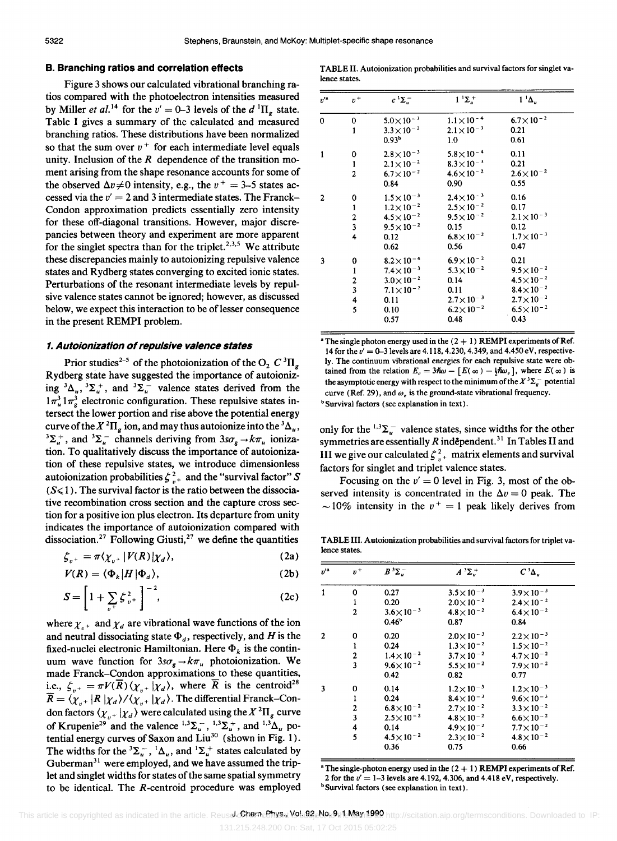# **B. Branching ratios and correlation effects**

Figure 3 shows our calculated vibrational branching ratios compared with the photoelectron intensities measured by Miller *et al.*<sup>14</sup> for the  $v' = 0$ -3 levels of the  $d<sup>1</sup>\Pi<sub>g</sub>$  state. Table I gives a summary of the calculated and measured branching ratios. These distributions have been normalized so that the sum over  $v^+$  for each intermediate level equals unity. Inclusion of the *R* dependence of the transition moment arising from the shape resonance accounts for some of the observed  $\Delta v \neq 0$  intensity, e.g., the  $v^+ = 3-5$  states accessed via the  $v' = 2$  and 3 intermediate states. The Franck-Condon approximation predicts essentially zero intensity for these off-diagonal transitions. However, major discrepancies between theory and experiment are more apparent for the singlet spectra than for the triplet.<sup>2,3,5</sup> We attribute these discrepancies mainly to autoionizing repulsive valence states and Rydberg states converging to excited ionic states. Perturbations of the resonant intermediate levels by repulsive valence states cannot be ignored; however, as discussed below, we expect this interaction to be of lesser consequence in the present REMPI problem.

#### **1. Autoionizatlon of repulsive valence states**

Prior studies<sup>2-5</sup> of the photoionization of the O<sub>2</sub>  $C^{3}\Pi_{g}$ Rydberg state have suggested the importance of autoionizing  ${}^3\Delta_u$ ,  ${}^3\Sigma_u^+$ , and  ${}^3\Sigma_u^-$  valence states derived from the  $1 \pi_u^3 1 \pi_e^3$  electronic configuration. These repulsive states intersect the lower portion and rise above the potential energy curve of the  $X^2\Pi_g$  ion, and may thus autoionize into the  ${}^3\Delta_g$ ,  ${}^{3}\Sigma_{u}^{+}$ , and  ${}^{3}\Sigma_{u}^{-}$  channels deriving from  $3s\sigma_{g} \rightarrow k\pi_{u}$  ionization. To qualitatively discuss the importance of autoionization of these repulsive states, we introduce dimensionless autoionization probabilities  $\zeta_{v^+}^2$  and the "survival factor" S  $(S \le 1)$ . The survival factor is the ratio between the dissociative recombination cross section and the capture cross section for a positive ion plus electron. Its departure from unity indicates the importance of autoionization compared with dissociation.<sup>27</sup> Following Giusti,<sup>27</sup> we define the quantities

$$
\zeta_{v^+} = \pi \langle \chi_{v^+} | V(R) | \chi_d \rangle, \tag{2a}
$$

$$
V(R) = \langle \Phi_k | H | \Phi_d \rangle, \tag{2b}
$$

$$
S = \left[1 + \sum_{v+} \zeta_{v+}^2\right]^{-2},\tag{2c}
$$

where  $\chi_{n+}$  and  $\chi_d$  are vibrational wave functions of the ion and neutral dissociating state  $\Phi_d$ , respectively, and H is the fixed-nuclei electronic Hamiltonian. Here  $\Phi_k$  is the continuum wave function for  $3s\sigma_g \rightarrow k\pi_u$  photoionization. We made Franck-Condon approximations to these quantities, i.e.,  $\zeta_{n+} = \pi V(\overline{R}) \langle \chi_{n+} | \chi_d \rangle$ , where  $\overline{R}$  is the centroid<sup>28</sup>  $\overline{R} = \langle \chi_{u^+} | R | \chi_d \rangle / \langle \chi_{v^+} | \chi_d \rangle$ . The differential Franck-Condon factors  $\langle \chi_{n+1} | \chi_d \rangle$  were calculated using the  $X^2 \Pi_g$  curve of Krupenie<sup>29</sup> and the valence  $^{1,3}\Sigma_{u}^{-}$ ,  $^{1,3}\Sigma_{u}^{+}$ , and  $^{1,3}\Delta_{u}$  potential energy curves of Saxon and Liu<sup>30</sup> (shown in Fig. 1). The widths for the  ${}^{3}\Sigma_{u}^{-}$ ,  ${}^{1}\Delta_{u}$ , and  ${}^{1}\Sigma_{u}^{+}$  states calculated by Guberman $31$  were employed, and we have assumed the triplet and singlet widths for states of the same spatial symmetry to be identical. The R-centroid procedure was employed

TABLE II. Autoionization probabilities and survival factors for singlet valence states.

| $v^{\prime a}$ | $v^+$                                           | $c^1\Sigma_u^-$      | $1^{\dagger} \Sigma_{\mu}^{+}$ | $1^1\Delta_\mu$      |
|----------------|-------------------------------------------------|----------------------|--------------------------------|----------------------|
| 0              | 0                                               | $5.0\times10^{-3}$   | $1.1 \times 10^{-4}$           | $6.7 \times 10^{-2}$ |
|                | $\mathbf{1}$                                    | $3.3\times10^{-2}$   | $2.1\times10^{-3}$             | 0.21                 |
|                |                                                 | 0.93 <sup>b</sup>    | 1.0                            | 0.61                 |
| 1              | 0                                               | $2.8\times10^{-3}$   | $5.8\times10^{-4}$             | 0.11                 |
|                | $\mathbf{1}$                                    | $2.1 \times 10^{-2}$ | $8.3\times10^{-3}$             | 0.21                 |
|                | $\overline{\mathbf{c}}$                         | $6.7\times10^{-2}$   | $4.6\times10^{-2}$             | $2.6\times10^{-2}$   |
|                |                                                 | 0.84                 | 0.90                           | 0.55                 |
| 2              | 0                                               | $1.5\times10^{-3}$   | $2.4\times10^{-3}$             | 0.16                 |
|                |                                                 | $1.2\times10^{-2}$   | $2.5\times10^{-2}$             | 0.17                 |
|                |                                                 | $4.5 \times 10^{-2}$ | $9.5 \times 10^{-2}$           | $2.1\times10^{-3}$   |
|                | $\begin{array}{c} 1 \\ 2 \\ 3 \\ 4 \end{array}$ | $9.5 \times 10^{-2}$ | 0.15                           | 0.12                 |
|                |                                                 | 0.12                 | $6.8\times10^{-2}$             | $1.7\times10^{-3}$   |
|                |                                                 | 0.62                 | 0.56                           | 0.47                 |
| 3              | 0                                               | $8.2 \times 10^{-4}$ | $6.9\times10^{-2}$             | 0.21                 |
|                | $\mathbf{1}$                                    | $7.4\times10^{-3}$   | $5.3 \times 10^{-2}$           | $9.5 \times 10^{-2}$ |
|                | $\overline{\mathbf{c}}$                         | $3.0\times10^{-2}$   | 0.14                           | $4.5 \times 10^{-2}$ |
|                | 3                                               | $7.1\times10^{-2}$   | 0.11                           | $8.4\times10^{-2}$   |
|                | 4                                               | 0.11                 | $2.7\times10^{-3}$             | $2.7 \times 10^{-2}$ |
|                | 5                                               | 0.10                 | $6.2\times10^{-2}$             | $6.5 \times 10^{-2}$ |
|                |                                                 | 0.57                 | 0.48                           | 0.43                 |

<sup>a</sup> The single photon energy used in the  $(2 + 1)$  REMPI experiments of Ref. 14 for the *v'* = 0-3 levels are 4.118, 4.230, 4.349, and 4.450 eV, respectively. The continuum vibrational energies for each repulsive state were obtained from the relation  $E_c = 3\hbar\omega - [E(\infty) - \frac{1}{2}\hbar\omega_e]$ , where  $E(\infty)$  is the asymptotic energy with respect to the minimum of the  $X^3\Sigma_{\varepsilon}^-$  potential curve (Ref. 29), and  $\omega_e$  is the ground-state vibrational frequency. <sup>b</sup> Survival factors (see explanation in text).

only for the  $1.3\Sigma_{u}^{-}$  valence states, since widths for the other symmetries are essentially *R* independent.<sup>31</sup> In Tables II and III we give our calculated  $\zeta_{v^+}^2$  matrix elements and survival factors for singlet and triplet valence states.

Focusing on the  $v' = 0$  level in Fig. 3, most of the observed intensity is concentrated in the  $\Delta v = 0$  peak. The  $\sim$  10% intensity in the  $v^+ = 1$  peak likely derives from

TABLE III. Autoionization probabilities and survival factors for triplet valence states.

| $v^{\prime a}$ | $v^+$                   | $B^3\Sigma_{\nu}^-$  | $A^3\Sigma^+_u$      | $C^3\Delta_u$        |
|----------------|-------------------------|----------------------|----------------------|----------------------|
| 1              | 0                       | 0.27                 | $3.5 \times 10^{-3}$ | $3.9 \times 10^{-3}$ |
|                | 1                       | 0.20                 | $2.0\times10^{-2}$   | $2.4\times10^{-2}$   |
|                | $\overline{c}$          | $3.6 \times 10^{-3}$ | $4.8 \times 10^{-2}$ | $6.4\times10^{-2}$   |
|                |                         | 0.46 <sup>b</sup>    | 0.87                 | 0.84                 |
| $\mathbf{2}$   | 0                       | 0.20                 | $2.0\times10^{-3}$   | $2.2 \times 10^{-3}$ |
|                | 1                       | 0.24                 | $1.3 \times 10^{-2}$ | $1.5 \times 10^{-2}$ |
|                | $\mathbf{2}$            | $1.4\times10^{-2}$   | $3.7\times10^{-2}$   | $4.7 \times 10^{-2}$ |
|                | 3                       | $9.6 \times 10^{-2}$ | $5.5 \times 10^{-2}$ | $7.9\times10^{-2}$   |
|                |                         | 0.42                 | 0.82                 | 0.77                 |
| 3              | 0                       | 0.14                 | $1.2 \times 10^{-3}$ | $1.2 \times 10^{-3}$ |
|                | 1                       | 0.24                 | $8.4\times10^{-3}$   | $9.6\times10^{-3}$   |
|                | $\overline{\mathbf{2}}$ | $6.8\times10^{-2}$   | $2.7\times10^{-2}$   | $3.3 \times 10^{-2}$ |
|                | 3                       | $2.5 \times 10^{-2}$ | $4.8 \times 10^{-2}$ | $6.6\times10^{-2}$   |
|                | 4                       | 0.14                 | $4.9\times10^{-2}$   | $7.7 \times 10^{-2}$ |
|                | 5                       | $4.5 \times 10^{-2}$ | $2.3\times10^{-2}$   | $4.8 \times 10^{-2}$ |
|                |                         | 0.36                 | 0.75                 | 0.66                 |

<sup>a</sup> The single-photon energy used in the  $(2 + 1)$  REMPI experiments of Ref. 2 for the *v'* = 1-3 levels are 4.192,4.306, and 4.418 eV, respectively. <sup>b</sup> Survival factors (see explanation in text).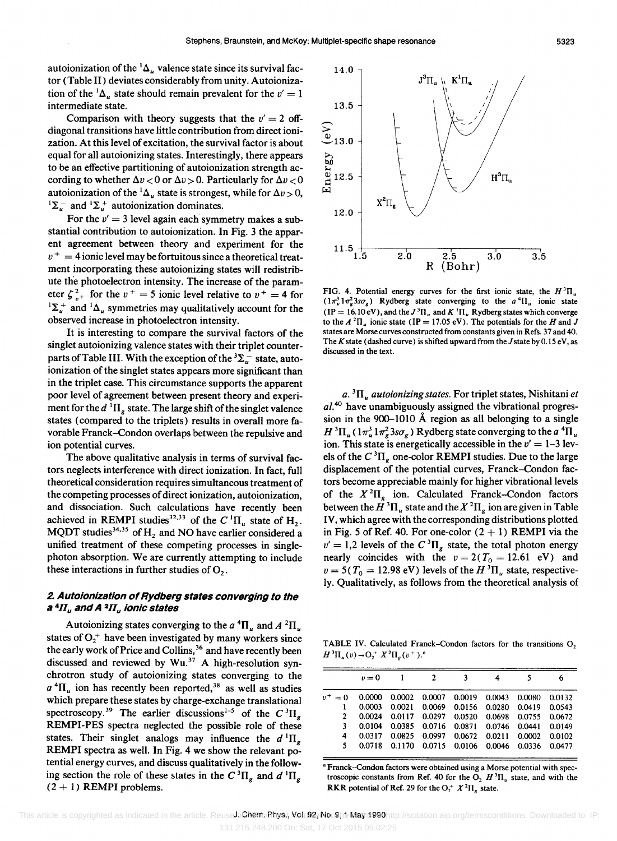autoionization of the  ${}^{1}\Delta_{u}$  valence state since its survival factor (Table II) deviates considerably from unity. Autoionization of the <sup>1</sup> $\Delta$ <sub>u</sub> state should remain prevalent for the  $v' = 1$ intermediate state.

Comparison with theory suggests that the  $v' = 2$  offdiagonal transitions have little contribution from direct ionization. At this level of excitation, the survival factor is about equal for all autoionizing states. Interestingly, there appears to be an effective partitioning of autoionization strength according to whether  $\Delta v < 0$  or  $\Delta v > 0$ . Particularly for  $\Delta v < 0$ autoionization of the <sup>1</sup> $\Delta$ <sub>*u*</sub> state is strongest, while for  $\Delta v > 0$ ,  ${}^{1}\Sigma_{\mu}^{-}$  and  ${}^{1}\Sigma_{\nu}^{+}$  autoionization dominates.

For the  $v' = 3$  level again each symmetry makes a substantial contribution to autoionization. In Fig. 3 the apparent agreement between theory and experiment for the  $v^+ = 4$  ionic level may be fortuitous since a theoretical treatment incorporating these autoionizing states will redistribute the photoelectron intensity. The increase of the parameter  $\zeta_{v^+}^2$  for the  $v^+ = 5$  ionic level relative to  $v^+ = 4$  for  ${}^{1}\Sigma_{\mu}^{+}$  and  ${}^{1}\Delta_{\mu}$  symmetries may qualitatively account for the observed increase in photoelectron intensity.

It is interesting to compare the survival factors of the singlet autoionizing valence states with their triplet counterparts of Table III. With the exception of the  ${}^{3}\Sigma_{u}^{-}$  state, autoionization of the singlet states appears more significant than in the triplet case. This circumstance supports the apparent poor level of agreement between present theory and experiment for the  $d^1\Pi_g$  state. The large shift of the singlet valence states (compared to the triplets) results in overall more favorable Franck-Condon overlaps between the repulsive and ion potential curves.

The above qualitative analysis in terms of survival factors neglects interference with direct ionization. In fact, full theoretical consideration requires simultaneous treatment of the competing processes of direct ionization, autoionization, and dissociation. Such calculations have recently been achieved in REMPI studies<sup>32,33</sup> of the  $C^{1}\Pi_{u}$  state of  $H_{2}$ . MQDT studies<sup>34,35</sup> of H<sub>2</sub> and NO have earlier considered a unified treatment of these competing processes in singlephoton absorption. We are currently attempting to include these interactions in further studies of  $O<sub>2</sub>$ .

# 2. Autoionization of Rydberg states converging to the a *4IIu* and A *2IIu* ionic states

Autoionizing states converging to the  $a^4\Pi_u$  and  $A^2\Pi_u$ states of  $O_2^+$  have been investigated by many workers since the early work of Price and Collins,<sup>36</sup> and have recently been discussed and reviewed by  $Wu<sup>37</sup>$  A high-resolution synchrotron study of autoionizing states converging to the  $a<sup>4</sup>\Pi_u$  ion has recently been reported,<sup>38</sup> as well as studies which prepare these states by charge-exchange translational spectroscopy.<sup>39</sup> The earlier discussions<sup>1-5</sup> of the  $C^{3}\Pi_{g}$ REMPI-PES spectra neglected the possible role of these states. Their singlet analogs may influence the  $d^1\Pi_a$ REMPI spectra as well. In Fig. 4 we show the relevant potential energy curves, and discuss qualitatively in the following section the role of these states in the  $C^{3}\Pi_{g}$  and  $d^{1}\Pi_{g}$  $(2 + 1)$  REMPI problems.



FIG. 4. Potential energy curves for the first ionic state, the  $H^3\Pi_u$  $(1 \pi_u^3 1 \pi_s^2 3 s \sigma_s)$  Rydberg state converging to the  $a^4 \Pi_u$  ionic state (IP = 16.10 eV), and the  $J^3\Pi_u$  and  $K^1\Pi_u$  Rydberg states which converge to the  $A^2\Pi_u$  ionic state (IP = 17.05 eV). The potentials for the *H* and *J* states are Morse curves constructed from constants given in Refs. 37 and 40. The K state (dashed curve) is shifted upward from the J state by  $0.15 \text{ eV}$ , as discussed in the text.

a. <sup>3</sup>II<sub>u</sub> autoionizing states. For triplet states, Nishitani *et al. 4O* have unambiguously assigned the vibrational progression in the 900-1010 Å region as all belonging to a single  $H^{3}\Pi_{\mu}$  ( $1\pi^{3}_{\mu}1\pi^{2}_{\sigma}3s\sigma_{\sigma}$ ) Rydberg state converging to the *a*<sup>4</sup> $\Pi_{\mu}$ ion. This state is energetically accessible in the  $v' = 1-3$  levels of the  $C^{3}\Pi_{\sigma}$  one-color REMPI studies. Due to the large displacement of the potential curves, Franck-Condon factors become appreciable mainly for higher vibrational levels of the  $X^2\Pi_{g}$  ion. Calculated Franck-Condon factors between the  $\mathring{H}$ <sup>3</sup> $\Pi_u$  state and the  $X$ <sup>2</sup> $\Pi_g$  ion are given in Table IV, which agree with the corresponding distributions plotted in Fig. 5 of Ref. 40. For one-color  $(2 + 1)$  REMPI via the  $v' = 1,2$  levels of the  $C^{3}$  $\Pi_{g}$  state, the total photon energy nearly coincides with the  $v = 2(T_0 = 12.61$  eV) and  $v = 5(T_0 = 12.98 \text{ eV})$  levels of the  $H^3\Pi_u$  state, respectively. Qualitatively, as follows from the theoretical analysis of

TABLE IV. Calculated Franck-Condon factors for the transitions 0,  $H^{3}\Pi_{u}(v) \rightarrow O_{2}^{+} X^{2}\Pi_{v}(v^{+}).^{a}$ 

|             | $v = 0$                                                    | 2 | ٦                                                |  |  |
|-------------|------------------------------------------------------------|---|--------------------------------------------------|--|--|
|             | $v^+ = 0$ 0.0000 0.0002 0.0007 0.0019 0.0043 0.0080 0.0132 |   |                                                  |  |  |
|             |                                                            |   | 0.0003 0.0021 0.0069 0.0156 0.0280 0.0419 0.0543 |  |  |
| $2^{\circ}$ |                                                            |   | 0.0024 0.0117 0.0297 0.0520 0.0698 0.0755 0.0672 |  |  |
| 3.          |                                                            |   | 0.0104 0.0385 0.0716 0.0871 0.0746 0.0441 0.0149 |  |  |
| 4           |                                                            |   | 0.0317 0.0825 0.0997 0.0672 0.0211 0.0002 0.0102 |  |  |
| 5.          |                                                            |   | 0.0718 0.1170 0.0715 0.0106 0.0046 0.0336 0.0477 |  |  |

a Franck-Condon factors were obtained using a Morse potential with spectroscopic constants from Ref. 40 for the O,  $H^3\Pi_u$  state, and with the RKR potential of Ref. 29 for the  $O_2^+ X^2 \Pi_g$  state.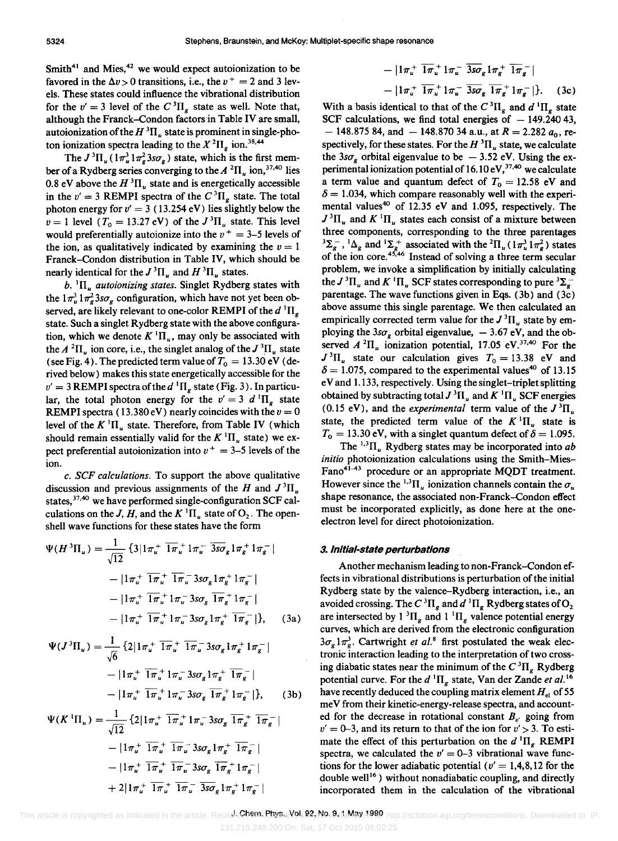Smith<sup>41</sup> and Mies,<sup>42</sup> we would expect autoionization to be favored in the  $\Delta v > 0$  transitions, i.e., the  $v^+ = 2$  and 3 levels. These states could influence the vibrational distribution for the  $v' = 3$  level of the  $C^{3}\Pi_{g}$  state as well. Note that, although the Franck-Condon factors in Table IV are small, autoionization of the  $H^3\Pi_u$  state is prominent in single-photon ionization spectra leading to the  $X^2\Pi_e$  ion.<sup>38,44</sup>

The  $J^3\Pi_u (1\pi_u^3 1\pi_s^2 3s\sigma_s)$  state, which is the first member of a Rydberg series converging to the  $A^2\Pi_u$  ion,<sup>37,40</sup> lies 0.8 eV above the  $H^3\Pi_u$  state and is energetically accessible in the  $v' = 3$  REMPI spectra of the  $C^{3} \Pi_{g}$  state. The total photon energy for  $v' = 3$  (13.254 eV) lies slightly below the  $v = 1$  level  $(T_0 = 13.27 \text{ eV})$  of the  $J^3 \Pi_u$  state. This level would preferentially autoionize into the  $v^+ = 3-5$  levels of the ion, as qualitatively indicated by examining the  $v = 1$ Franck-Condon distribution in Table IV, which should be nearly identical for the  $J^3\Pi_u$  and  $H^3\Pi_u$  states.

 $b.$  <sup>1</sup>II<sub>u</sub> *autoionizing states.* Singlet Rydberg states with the  $1 \pi_u^3 1 \pi_s^2 3 s \sigma_g$  configuration, which have not yet been observed, are likely relevant to one-color REMPI of the  $d \Pi_g$ state. Such a singlet Rydberg state with the above configuration, which we denote  $K^1\Pi_u$ , may only be associated with the  $A^2\Pi_u$  ion core, i.e., the singlet analog of the  $J^3\Pi_u$  state (see Fig. 4). The predicted term value of  $T_0 = 13.30 \text{ eV}$  (derived below) makes this state energetically accessible for the  $v' = 3$  REMPI spectra of the *d*<sup>1</sup> $\Pi_g$  state (Fig. 3). In particular, the total photon energy for the  $v' = 3 d \Pi_g$  state REMPI spectra (13.380 eV) nearly coincides with the  $v = 0$ level of the  $K^1\Pi_u$  state. Therefore, from Table IV (which should remain essentially valid for the  $K^1\Pi_u$  state) we expect preferential autoionization into  $v^+ = 3-5$  levels of the ion.

c. SCF *calculations.* To support the above qualitative discussion and previous assignments of the H and  $J^3\Pi$ . states,<sup>37,40</sup> we have performed single-configuration SCF calculations on the *J*, *H*, and the  $K<sup>1</sup>\Pi_u$  state of  $O_2$ . The openshell wave functions for these states have the form previous assignments of the *H* and<br>previous assignments of the *H* and<br>*i. J, H,* and the *K*<sup>1</sup> $\Pi_u$  state of  $O_2$ . The isons for these states have the form<br> $\frac{1}{12}$  { $3|1\pi_u^+ \overline{1\pi_u^+} 1\pi_u^- \overline{3s\sigma_g} 1\pi_g^+ 1\pi_g^-$ 

$$
\Psi(H^{3}\Pi_{u}) = \frac{1}{\sqrt{12}} \left\{ 3|1\pi_{u}^{+} \overline{1\pi_{u}^{+}} 1\pi_{u}^{-} \overline{3s\sigma_{g}} 1\pi_{g}^{+} 1\pi_{g}^{-} |
$$
  
\n
$$
-|1\pi_{u}^{+} \overline{1\pi_{u}^{+}} \overline{1\pi_{u}^{-}} 3s\sigma_{g} 1\pi_{g}^{+} 1\pi_{g}^{-} |
$$
  
\n
$$
-|1\pi_{u}^{+} \overline{1\pi_{u}^{+}} 1\pi_{u}^{-} 3s\sigma_{g} \overline{1\pi_{g}^{+}} 1\pi_{g}^{-} |
$$
  
\n
$$
-|1\pi_{u}^{+} \overline{1\pi_{u}^{+}} 1\pi_{u}^{-} 3s\sigma_{g} 1\pi_{g}^{+} \overline{1\pi_{g}^{-}} |
$$
  
\n
$$
\Psi(J^{3}\Pi_{u}) = \frac{1}{\sqrt{2}} \left\{ 2|1\pi_{u}^{+} \overline{1\pi_{u}^{+}} \overline{1\pi_{u}^{-}} 3s\sigma_{g} 1\pi_{g}^{+} 1\pi_{g}^{-} |
$$
 (3a)

$$
\Psi(J^{3}\Pi_{u}) = \frac{1}{\sqrt{6}} \left\{ 2\left| 1\pi_{u}^{+} \overline{1\pi}_{u}^{+} \overline{1\pi}_{u}^{-} 3s\sigma_{g} 1\pi_{g}^{+} 1\pi_{g}^{-} \right| \right.
$$

$$
- \left| 1\pi_{u}^{+} \overline{1\pi}_{u}^{+} 1\pi_{u}^{-} 3s\sigma_{g} 1\pi_{g}^{+} \overline{1\pi}_{g}^{-} \right|
$$

$$
- \left| 1\pi_{u}^{+} \overline{1\pi}_{u}^{+} 1\pi_{u}^{-} 3s\sigma_{g} \overline{1\pi}_{g}^{+} 1\pi_{g}^{-} \right| \right\}, \qquad (3b)
$$

$$
\Psi(K^{1}\Pi_{u}) = \frac{1}{\sqrt{12}} \left\{ 2 \left| 1\pi_{u}^{+} \overline{1\pi}_{u}^{+} 1\pi_{u}^{-} 3s\sigma_{g} \overline{1\pi}_{g}^{+} \overline{1\pi}_{g}^{-} \right| \right.
$$

$$
- \left| 1\pi_{u}^{+} \overline{1\pi}_{u}^{+} \overline{1\pi}_{u}^{-} 3s\sigma_{g} 1\pi_{g}^{+} \overline{1\pi}_{g}^{-} \right|
$$

$$
- \left| 1\pi_{u}^{+} \overline{1\pi}_{u}^{+} \overline{1\pi}_{u}^{-} 3s\sigma_{g} \overline{1\pi}_{g}^{+} 1\pi_{g}^{-} \right|
$$

$$
+ 2 \left| 1\pi_{u}^{+} \overline{1\pi}_{u}^{+} \overline{1\pi}_{u}^{-} \overline{3s\sigma}_{g} 1\pi_{g}^{+} 1\pi_{g}^{-} \right|
$$

$$
- |1\pi_u^+ \overline{1\pi_u^+} 1\pi_u^- \overline{3s\sigma}_g 1\pi_g^+ \overline{1\pi_g^-} |
$$
  

$$
- |1\pi_u^+ \overline{1\pi_u^+} 1\pi_u^- \overline{3s\sigma}_g \overline{1\pi_g^+} 1\pi_g^- |.
$$
 (3c)

With a basis identical to that of the  $C^{3}\Pi_{g}$  and  $d^{1}\Pi_{g}$  state SCF calculations, we find total energies of  $-149.24043$ ,  $-$  148.875 84, and  $-$  148.870 34 a.u., at  $R = 2.282 a_0$ , respectively, for these states. For the  $H^3\Pi_u$  state, we calculate the  $3s\sigma_g$  orbital eigenvalue to be  $-3.52$  eV. Using the experimental ionization potential of  $16.10 \text{ eV}$ ,  $37,40 \text{ we calculate}$ a term value and quantum defect of  $T_0 = 12.58$  eV and  $\delta = 1.034$ , which compare reasonably well with the experimental values<sup>40</sup> of 12.35 eV and 1.095, respectively. The  $J<sup>3</sup>$ II<sub>u</sub> and  $K<sup>1</sup>$ II<sub>u</sub> states each consist of a mixture between three components, corresponding to the three parentages  ${}^{3}\Sigma_{g}^{-}$ ,  ${}^{1}\Delta_{g}$  and  ${}^{1}\Sigma_{g}^{+}$  associated with the  ${}^{2}\Pi_{u} (1\pi_{u}^{3} 1\pi_{g}^{2})$  states of the ion core.<sup>45,46</sup> Instead of solving a three term secular problem, we invoke a simplification by initially calculating the  $J^3\Pi_u$  and  $K^1\Pi_u$  SCF states corresponding to pure  ${}^3\Sigma_g^$ parentage. The wave functions given in Eqs. (3b) and (3c) above assume this single parentage. We then calculated an empirically corrected term value for the  $J^3\Pi_{\nu}$  state by employing the  $3s\sigma_{g}$  orbital eigenvalue,  $-3.67$  eV, and the observed  $A^2\Pi_u$  ionization potential, 17.05 eV.<sup>37,40</sup> For the  $J^3\Pi_u$  state our calculation gives  $T_0 = 13.38$  eV and  $\delta = 1.075$ , compared to the experimental values<sup>40</sup> of 13.15 e V and 1.133, respectively. Using the singlet-triplet splitting obtained by subtracting total  $J^3\Pi_u$  and  $K^1\Pi_u$  SCF energies (0.15 eV), and the *experimental* term value of the  $J^3\Pi_u$ state, the predicted term value of the  $K^1\Pi_u$  state is  $T_0 = 13.30$  eV, with a singlet quantum defect of  $\delta = 1.095$ .

The  $^{1,3}\Pi_u$  Rydberg states may be incorporated into *ab initio* photoionization calculations using the Smith-Mies-Fano<sup>41-43</sup> procedure or an appropriate MQDT treatment. However since the <sup>1,3</sup> $\Pi_{\nu}$  ionization channels contain the  $\sigma_{\nu}$ shape resonance, the associated non-Franck-Condon effect must be incorporated explicitly, as done here at the oneelectron level for direct photoionization.

#### *3.* **Initial-state perturbations**

Another mechanism leading to non-Franck-Condon effects in vibrational distributions is perturbation of the initial Rydberg state by the valence-Rydberg interaction, i.e., an avoided crossing. The C<sup>3</sup> $\Pi_{g}$  and  $d^{1}\Pi_{g}$  Rydberg states of O<sub>2</sub> are intersected by 1  ${}^{3}$ H<sub>g</sub> and 1  ${}^{1}$ H<sub>g</sub> valence potential energy curves, which are derived from the electronic configuration  $3\sigma_{\rm g} 1\pi_{\rm g}^3$ . Cartwright *et al.*<sup>8</sup> first postulated the weak electronic interaction leading to the interpretation of two crossing diabatic states near the minimum of the  $C^{3}\Pi_{\sigma}$  Rydberg potential curve. For the  $d \, {}^{1}\Pi_{g}$  state, Van der Zande *et al.*<sup>16</sup> have recently deduced the coupling matrix element *Hel* of 55 meV from their kinetic-energy-release spectra, and accounted for the decrease in rotational constant  $B_{\nu}$  going from  $v' = 0$ -3, and its return to that of the ion for  $v' > 3$ . To estimate the effect of this perturbation on the  $d^{1}\Pi_{g}$  REMPI spectra, we calculated the  $v' = 0$ -3 vibrational wave functions for the lower adiabatic potential  $(v' = 1, 4, 8, 12$  for the double well<sup>16</sup>) without nonadiabatic coupling, and directly incorporated them in the calculation of the vibrational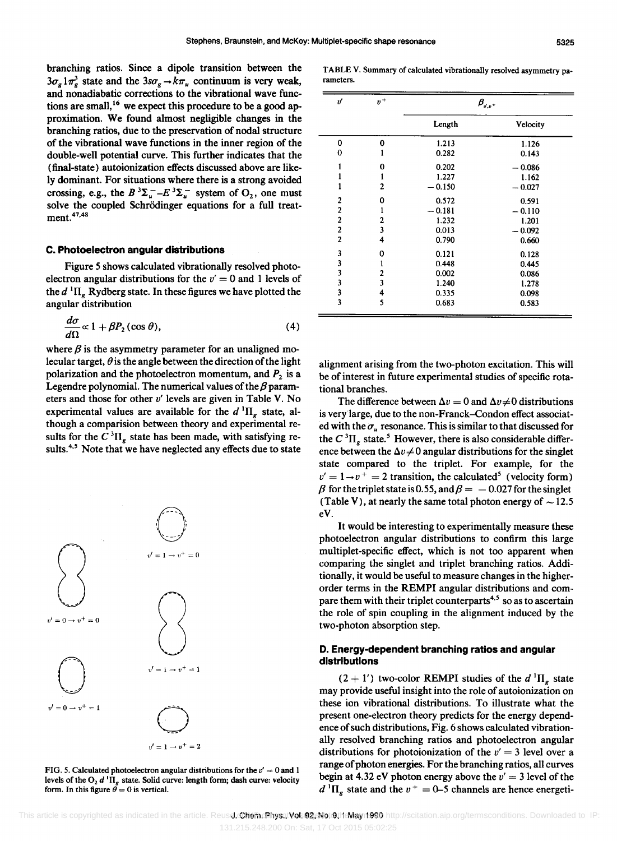$\overline{a}$ 

rameters.

branching ratios. Since a dipole transition between the  $3\sigma_g 1\pi_g^3$  state and the  $3s\sigma_g \rightarrow k\pi_u$  continuum is very weak, and nonadiabatic corrections to the vibrational wave functions are small,<sup>16</sup> we expect this procedure to be a good approximation. We found almost negligible changes in the branching ratios, due to the preservation of nodal structure of the vibrational wave functions in the inner region of the double-well potential curve. This further indicates that the (final-state) autoionization effects discussed above are likely dominant. For situations where there is a strong avoided crossing, e.g., the  $B^3\Sigma_u^- - E^3\Sigma_u^-$  system of  $O_2$ , one must solve the coupled Schrödinger equations for a full treatment.<sup>47,48</sup>

#### c. Photoelectron angular distributions

Figure 5 shows calculated vibrationally resolved photoelectron angular distributions for the  $v' = 0$  and 1 levels of the  $d$ <sup>1</sup> $\Pi_{g}$  Rydberg state. In these figures we have plotted the angular distribution

$$
\frac{d\sigma}{d\Omega} \propto 1 + \beta P_2(\cos\theta),\tag{4}
$$

where  $\beta$  is the asymmetry parameter for an unaligned molecular target,  $\theta$  is the angle between the direction of the light polarization and the photoelectron momentum, and P*2* is a Legendre polynomial. The numerical values of the  $\beta$  parameters and those for other *v'* levels are given in Table V. No experimental values are available for the  $d<sup>1</sup>\Pi<sub>e</sub>$  state, although a comparision between theory and experimental results for the  $C^{3}\Pi_{g}$  state has been made, with satisfying results.<sup>4,5</sup> Note that we have neglected any effects due to state



FIG. 5. Calculated photoelectron angular distributions for the  $v' = 0$  and 1 levels of the  $O_2 d$  <sup>1</sup> $\Pi_g$  state. Solid curve: length form; dash curve: velocity form. In this figure  $\ddot{\theta} = 0$  is vertical.

| v                       | $\boldsymbol{v}^+$      | $\beta_{u,v^+}$ |          |  |
|-------------------------|-------------------------|-----------------|----------|--|
|                         |                         | Length          | Velocity |  |
| 0                       | 0                       | 1.213           | 1.126    |  |
| 0                       |                         | 0.282           | 0.143    |  |
|                         | 0                       | 0.202           | 0.086    |  |
|                         | ı                       | 1.227           | 1.162    |  |
| 1                       | 2                       | $-0.150$        | $-0.027$ |  |
| $\overline{2}$          | 0                       | 0.572           | 0.591    |  |
| 2                       | l                       | 0.181           | $-0.110$ |  |
| 2                       | 2                       | 1.232           | 1.201    |  |
| $\overline{\mathbf{c}}$ | $\overline{\mathbf{3}}$ | 0.013           | $-0.092$ |  |
| $\overline{2}$          | 4                       | 0.790           | 0.660    |  |
| 3                       | 0                       | 0.121           | 0.128    |  |
| 3                       | ı                       | 0.448           | 0.445    |  |
| 3                       | 2                       | 0.002           | 0.086    |  |
| 3                       | 3                       | 1.240           | 1.278    |  |
| 3                       | 4                       | 0.335           | 0.098    |  |
| 3                       | 5                       | 0.683           | 0.583    |  |

TABLE V. Summary of calculated vibrationally resolved asymmetry pa-

alignment arising from the two-photon excitation. This will be of interest in future experimental studies of specific rotational branches.

The difference between  $\Delta v = 0$  and  $\Delta v \neq 0$  distributions is very large, due to the non-Franck-Condon effect associated with the  $\sigma_{\mu}$  resonance. This is similar to that discussed for the  $C^{3}\Pi_{g}$  state.<sup>5</sup> However, there is also considerable difference between the  $\Delta v \neq 0$  angular distributions for the singlet state compared to the triplet. For example, for the  $v' = 1 \rightarrow v^+ = 2$  transition, the calculated<sup>5</sup> (velocity form)  $\beta$  for the triplet state is 0.55, and  $\beta = -0.027$  for the singlet (Table V), at nearly the same total photon energy of  $\sim$  12.5 eV.

It would be interesting to experimentally measure these photoelectron angular distributions to confirm this large multiplet-specific effect, which is not too apparent when comparing the singlet and triplet branching ratios. Additionally, it would be useful to measure changes in the higherorder terms in the REMPI angular distributions and compare them with their triplet counterparts<sup>4,5</sup> so as to ascertain the role of spin coupling in the alignment induced by the two-photon absorption step.

#### D. Energy-dependent branching ratios and angular distributions

 $(2 + 1')$  two-color REMPI studies of the  $d \Pi$ <sub>r</sub> state may provide useful insight into the role of autoionization on these ion vibrational distributions. To illustrate what the present one-electron theory predicts for the energy dependence of such distributions, Fig. 6 shows calculated vibrationally resolved branching ratios and photoelectron angular distributions for photoionization of the  $v' = 3$  level over a range of photon energies. For the branching ratios, all curves begin at 4.32 eV photon energy above the  $v' = 3$  level of the  $d$ <sup>1</sup>II<sub>s</sub> state and the  $v^+ = 0$ -5 channels are hence energeti-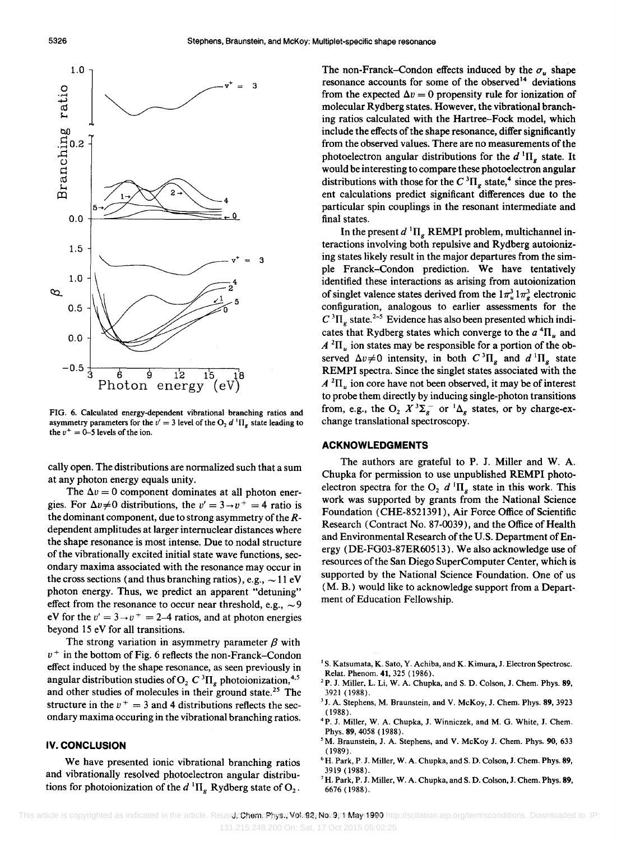

FIG. 6. Calculated energy-dependent vibrational branching ratios and asymmetry parameters for the  $v' = 3$  level of the O<sub>2</sub> d<sup>1</sup>II<sub>g</sub> state leading to the  $v^+ = 0$ -5 levels of the ion.

cally open. The distributions are normalized such that a sum at any photon energy equals unity.

The  $\Delta v = 0$  component dominates at all photon energies. For  $\Delta v \neq 0$  distributions, the  $v' = 3 \rightarrow v^+ = 4$  ratio is the dominant component, due to strong asymmetry of the Rdependent amplitudes at larger internuclear distances where the shape resonance is most intense. Due to nodal structure of the vibrationally excited initial state wave functions, secondary maxima associated with the resonance may occur in the cross sections (and thus branching ratios), e.g.,  $\sim$  11 eV photon energy. Thus, we predict an apparent "detuning" effect from the resonance to occur near threshold, e.g.,  $\sim$ 9 eV for the  $v' = 3 \rightarrow v^+ = 2-4$  ratios, and at photon energies beyond 15 eV for all transitions.

The strong variation in asymmetry parameter  $\beta$  with  $v^+$  in the bottom of Fig. 6 reflects the non-Franck-Condon effect induced by the shape resonance, as seen previously in angular distribution studies of  $O_2 C^3 \Pi_g$  photoionization,<sup>4,5</sup> and other studies of molecules in their ground state.<sup>25</sup> The structure in the  $v^+ = 3$  and 4 distributions reflects the secondary maxima occuring in the vibrational branching ratios.

# **IV. CONCLUSION**

We have presented ionic vibrational branching ratios and vibrationally resolved photoelectron angular distributions for photoionization of the  $d^{1} \Pi_{g}$  Rydberg state of O<sub>2</sub>.

The non-Franck-Condon effects induced by the  $\sigma_u$  shape resonance accounts for some of the observed<sup>14</sup> deviations from the expected  $\Delta v = 0$  propensity rule for ionization of molecular Rydberg states. However, the vibrational branching ratios calculated with the Hartree-Fock model, which include the effects of the shape resonance, differ significantly from the observed values. There are no measurements of the photoelectron angular distributions for the  $d^{1} \Pi_{g}$  state. It would be interesting to compare these photoelectron angular distributions with those for the  $C^{3}\Pi_{g}$  state,<sup>4</sup> since the present calculations predict significant differences due to the particular spin couplings in the resonant intermediate and final states.

In the present  $d^{1} \Pi_{g}$  REMPI problem, multichannel interactions involving both repulsive and Rydberg autoionizing states likely result in the major departures from the simple Franck-Condon prediction. We have tentatively identified these interactions as arising from autoionization of singlet valence states derived from the  $1\pi_u^3 1\pi_g^3$  electronic configuration, analogous to earlier assessments for the  $C^{3}\Pi_{g}$  state.<sup>2-5</sup> Evidence has also been presented which indicates that Rydberg states which converge to the  $a^4\Pi_u$  and  $A^{2}\Pi_{\mu}$  ion states may be responsible for a portion of the observed  $\Delta v \neq 0$  intensity, in both  $C \, {}^3\Pi_g$  and  $d \, {}^1\Pi_g$  state REMPI spectra. Since the singlet states associated with the  $A^{2}\Pi_{\mu}$  ion core have not been observed, it may be of interest to probe them directly by inducing single-photon transitions from, e.g., the O<sub>2</sub>  $X^3\Sigma_g$ <sup>-</sup> or  ${}^1\Delta_g$  states, or by charge-exchange translational spectroscopy.

# **ACKNOWLEDGMENTS**

The authors are grateful to P. J. Miller and W. A. Chupka for permission to use unpublished REMPI photoelectron spectra for the  $O_2$  d  $\mathrm{II}_q$  state in this work. This work was supported by grants from the National Science Foundation (CHE-8521391), Air Force Office of Scientific Research (Contract No. 87-0039), and the Office of Health and Environmental Research of the U.S. Department of Energy (DE-FG03-87ER60513). We also acknowledge use of resources of the San Diego SuperComputer Center, which is supported by the National Science Foundation. One of us (M. B.) would like to acknowledge support from a Department of Education Fellowship.

- <sup>1</sup> S. Katsumata, K. Sato, Y. Achiba, and K. Kimura, J. Electron Spectrosc. Relat. Phenom. 41, 325 (1986).
- <sup>2</sup>P. J. Miller, L. Li, W. A. Chupka, and S. D. Colson, J. Chem. Phys. 89, 3921 (1988).
- <sup>3</sup> J. A. Stephens, M. Braunstein, and V. McKoy, J. Chem. Phys. 89, 3923 (1988).
- <sup>4</sup> P. J. Miller, W. A. Chupka, J. Winniczek, and M. G. White, J. Chem. Phys. 89, 4058 (1988).
- <sup>5</sup>M. Braunstein, J. A. Stephens, and V. McKoy J. Chem. Phys. 90, 633 (1989).
- <sup>6</sup> H. Park, P. J. Miller, W. A. Chupka, and S. D. Colson, J. Chem. Phys. 89, 3919 (1988).
- <sup>7</sup> H. Park, P. J. Miller, W. A. Chupka, and S. D. Colson, J. Chem. Phys. 89, 6676 (1988).